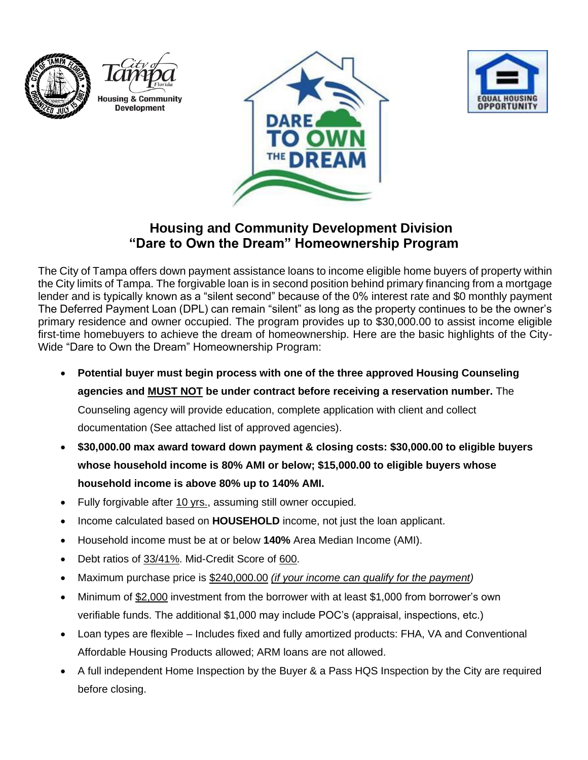







## **Housing and Community Development Division "Dare to Own the Dream" Homeownership Program**

The City of Tampa offers down payment assistance loans to income eligible home buyers of property within the City limits of Tampa. The forgivable loan is in second position behind primary financing from a mortgage lender and is typically known as a "silent second" because of the 0% interest rate and \$0 monthly payment The Deferred Payment Loan (DPL) can remain "silent" as long as the property continues to be the owner's primary residence and owner occupied. The program provides up to \$30,000.00 to assist income eligible first-time homebuyers to achieve the dream of homeownership. Here are the basic highlights of the City-Wide "Dare to Own the Dream" Homeownership Program:

• **Potential buyer must begin process with one of the three approved Housing Counseling** 

**agencies and MUST NOT be under contract before receiving a reservation number.** The

Counseling agency will provide education, complete application with client and collect

documentation (See attached list of approved agencies).

- **\$30,000.00 max award toward down payment & closing costs: \$30,000.00 to eligible buyers whose household income is 80% AMI or below; \$15,000.00 to eligible buyers whose household income is above 80% up to 140% AMI.**
- Fully forgivable after 10 yrs., assuming still owner occupied.
- Income calculated based on **HOUSEHOLD** income, not just the loan applicant.
- Household income must be at or below **140%** Area Median Income (AMI).
- Debt ratios of 33/41%. Mid-Credit Score of 600.
- Maximum purchase price is \$240,000.00 *(if your income can qualify for the payment)*
- Minimum of \$2,000 investment from the borrower with at least \$1,000 from borrower's own verifiable funds. The additional \$1,000 may include POC's (appraisal, inspections, etc.)
- Loan types are flexible Includes fixed and fully amortized products: FHA, VA and Conventional Affordable Housing Products allowed; ARM loans are not allowed.
- A full independent Home Inspection by the Buyer & a Pass HQS Inspection by the City are required before closing.